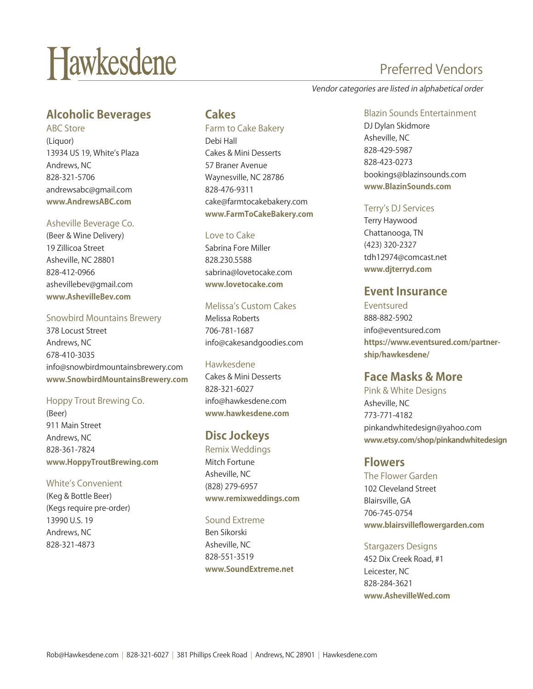# Hawkesdene

## **Alcoholic Beverages**

ABC Store (Liquor) 13934 US 19, White's Plaza Andrews, NC 828-321-5706 andrewsabc@gmail.com **www.AndrewsABC.com**

#### Asheville Beverage Co.

(Beer & Wine Delivery) 19 Zillicoa Street Asheville, NC 28801 828-412-0966 ashevillebev@gmail.com **www.AshevilleBev.com** 

#### Snowbird Mountains Brewery

378 Locust Street Andrews, NC 678-410-3035 info@snowbirdmountainsbrewery.com **www.SnowbirdMountainsBrewery.com**

#### Hoppy Trout Brewing Co.

(Beer) 911 Main Street Andrews, NC 828-361-7824 **www.HoppyTroutBrewing.com**

#### White's Convenient

(Keg & Bottle Beer) (Kegs require pre-order) 13990 U.S. 19 Andrews, NC 828-321-4873

### **Cakes**

Farm to Cake Bakery Debi Hall Cakes & Mini Desserts 57 Braner Avenue Waynesville, NC 28786 828-476-9311 cake@farmtocakebakery.com **www.FarmToCakeBakery.com** 

#### Love to Cake

Sabrina Fore Miller 828.230.5588 sabrina@lovetocake.com **www.lovetocake.com**

#### Melissa's Custom Cakes

Melissa Roberts 706-781-1687 info@cakesandgoodies.com

#### Hawkesdene

Cakes & Mini Desserts 828-321-6027 info@hawkesdene.com **www.hawkesdene.com**

## **Disc Jockeys**

Remix Weddings Mitch Fortune Asheville, NC (828) 279-6957 **www.remixweddings.com** 

#### Sound Extreme

Ben Sikorski Asheville, NC 828-551-3519 **www.SoundExtreme.net**

## Preferred Vendors

Vendor categories are listed in alphabetical order

Blazin Sounds Entertainment DJ Dylan Skidmore Asheville, NC 828-429-5987 828-423-0273 bookings@blazinsounds.com **www.BlazinSounds.com** 

#### Terry's DJ Services

Terry Haywood Chattanooga, TN (423) 320-2327 tdh12974@comcast.net **www.djterryd.com**

## **Event Insurance**

Eventsured 888-882-5902 info@eventsured.com **https://www.eventsured.com/partnership/hawkesdene/** 

## **Face Masks & More**

Pink & White Designs Asheville, NC 773-771-4182 pinkandwhitedesign@yahoo.com **www.etsy.com/shop/pinkandwhitedesign** 

#### **Flowers**

The Flower Garden 102 Cleveland Street Blairsville, GA 706-745-0754 **www.blairsvilleflowergarden.com** 

Stargazers Designs 452 Dix Creek Road, #1 Leicester, NC 828-284-3621 **www.AshevilleWed.com**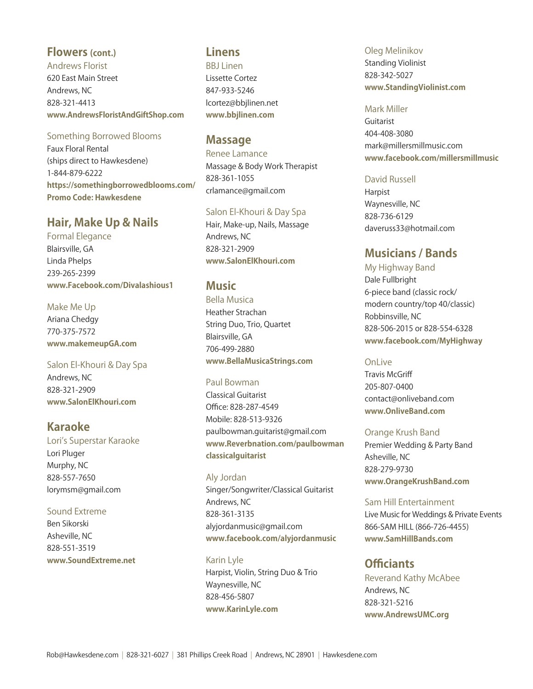## **Flowers (cont.)**

Andrews Florist 620 East Main Street Andrews, NC 828-321-4413 **www.AndrewsFloristAndGiftShop.com**

#### Something Borrowed Blooms

Faux Floral Rental (ships direct to Hawkesdene) 1-844-879-6222 **https://somethingborrowedblooms.com/ Promo Code: Hawkesdene**

## **Hair, Make Up & Nails**

Formal Elegance Blairsville, GA Linda Phelps 239-265-2399 **www.Facebook.com/Divalashious1**

Make Me Up Ariana Chedgy 770-375-7572 **www.makemeupGA.com**

Salon El-Khouri & Day Spa Andrews, NC 828-321-2909 **www.SalonElKhouri.com**

## **Karaoke**

Lori's Superstar Karaoke Lori Pluger Murphy, NC 828-557-7650 lorymsm@gmail.com

#### Sound Extreme

Ben Sikorski Asheville, NC 828-551-3519 **www.SoundExtreme.net**

## **Linens**

**BBJ** Linen Lissette Cortez 847-933-5246 lcortez@bbjlinen.net **www.bbjlinen.com**

## **Massage**

Renee Lamance Massage & Body Work Therapist 828-361-1055 crlamance@gmail.com

#### Salon El-Khouri & Day Spa

Hair, Make-up, Nails, Massage Andrews, NC 828-321-2909 **www.SalonElKhouri.com**

### **Music**

Bella Musica Heather Strachan String Duo, Trio, Quartet Blairsville, GA 706-499-2880 **www.BellaMusicaStrings.com** 

#### Paul Bowman

Classical Guitarist Office: 828-287-4549 Mobile: 828-513-9326 paulbowman.guitarist@gmail.com **www.Reverbnation.com/paulbowman classicalguitarist** 

Aly Jordan Singer/Songwriter/Classical Guitarist Andrews, NC 828-361-3135 alyjordanmusic@gmail.com **www.facebook.com/alyjordanmusic** 

#### Karin Lyle

Harpist, Violin, String Duo & Trio Waynesville, NC 828-456-5807 **www.KarinLyle.com** 

Oleg Melinikov Standing Violinist 828-342-5027 **www.StandingViolinist.com**

#### Mark Miller

Guitarist 404-408-3080 mark@millersmillmusic.com **www.facebook.com/millersmillmusic** 

#### David Russell

Harpist Waynesville, NC 828-736-6129 daveruss33@hotmail.com

## **Musicians / Bands**

My Highway Band Dale Fullbright 6-piece band (classic rock/ modern country/top 40/classic) Robbinsville, NC 828-506-2015 or 828-554-6328 **www.facebook.com/MyHighway**

#### OnLive

Travis McGriff 205-807-0400 contact@onliveband.com **www.OnliveBand.com**

#### Orange Krush Band

Premier Wedding & Party Band Asheville, NC 828-279-9730 **www.OrangeKrushBand.com**

#### Sam Hill Entertainment

Live Music for Weddings & Private Events 866-SAM HILL (866-726-4455) **www.SamHillBands.com**

## **Officiants**

Reverand Kathy McAbee Andrews, NC 828-321-5216 **www.AndrewsUMC.org**